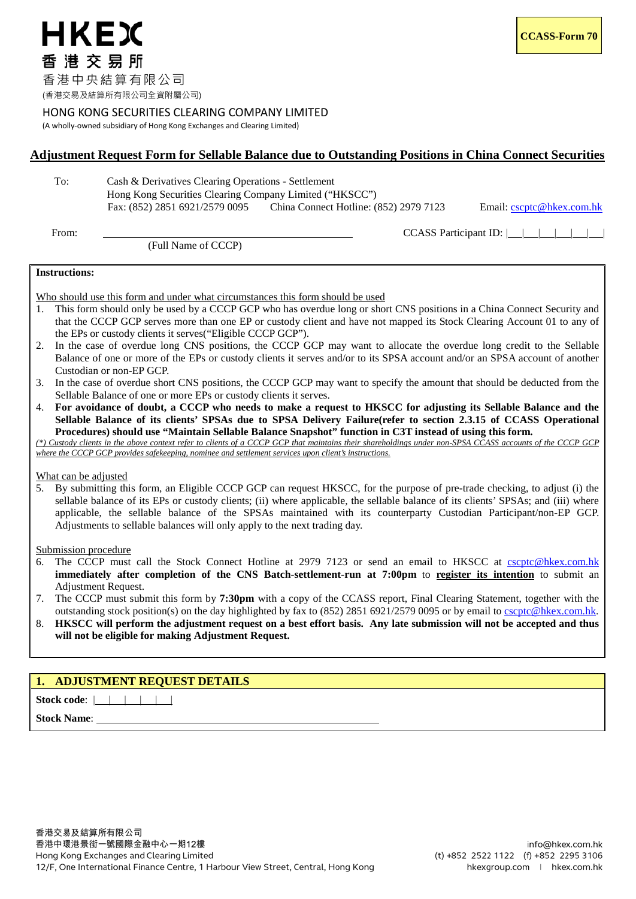### HONG KONG SECURITIES CLEARING COMPANY LIMITED

(A wholly-owned subsidiary of Hong Kong Exchanges and Clearing Limited)

## **Adjustment Request Form for Sellable Balance due to Outstanding Positions in China Connect Securities**

To: Cash & Derivatives Clearing Operations - Settlement Hong Kong Securities Clearing Company Limited ("HKSCC")<br>Fax: (852) 2851 6921/2579 0095 China Connect Hotline: (

China Connect Hotline: (852) 2979 7123 Email: [cscptc@hkex.com.hk](mailto:cscptc@hkex.com.hk)

(Full Name of CCCP)

From: CCASS Participant ID:  $\| \cdot \|$ 

#### **Instructions:**

Who should use this form and under what circumstances this form should be used

- 1. This form should only be used by a CCCP GCP who has overdue long or short CNS positions in a China Connect Security and that the CCCP GCP serves more than one EP or custody client and have not mapped its Stock Clearing Account 01 to any of the EPs or custody clients it serves("Eligible CCCP GCP").
- 2. In the case of overdue long CNS positions, the CCCP GCP may want to allocate the overdue long credit to the Sellable Balance of one or more of the EPs or custody clients it serves and/or to its SPSA account and/or an SPSA account of another Custodian or non-EP GCP.
- 3. In the case of overdue short CNS positions, the CCCP GCP may want to specify the amount that should be deducted from the Sellable Balance of one or more EPs or custody clients it serves.
- 4. **For avoidance of doubt, a CCCP who needs to make a request to HKSCC for adjusting its Sellable Balance and the Sellable Balance of its clients' SPSAs due to SPSA Delivery Failure(refer to section 2.3.15 of CCASS Operational Procedures) should use "Maintain Sellable Balance Snapshot" function in C3T instead of using this form.**

*(\*) Custody clients in the above context refer to clients of a CCCP GCP that maintains their shareholdings under non-SPSA CCASS accounts of the CCCP GCP where the CCCP GCP provides safekeeping, nominee and settlement services upon client's instructions.* 

#### What can be adjusted

5. By submitting this form, an Eligible CCCP GCP can request HKSCC, for the purpose of pre-trade checking, to adjust (i) the sellable balance of its EPs or custody clients; (ii) where applicable, the sellable balance of its clients' SPSAs; and (iii) where applicable, the sellable balance of the SPSAs maintained with its counterparty Custodian Participant/non-EP GCP. Adjustments to sellable balances will only apply to the next trading day.

Submission procedure

- 6. The CCCP must call the Stock Connect Hotline at 2979 7123 or send an email to HKSCC at [cscptc@hkex.com.hk](mailto:cscptc@hkex.com.hk) **immediately after completion of the CNS Batch-settlement-run at 7:00pm** to **register its intention** to submit an Adjustment Request.
- 7. The CCCP must submit this form by **7:30pm** with a copy of the CCASS report, Final Clearing Statement, together with the outstanding stock position(s) on the day highlighted by fax to (852) 2851 6921/2579 0095 or by email to [cscptc@hkex.com.hk.](mailto:cscptc@hkex.com.hk)
- 8. **HKSCC will perform the adjustment request on a best effort basis. Any late submission will not be accepted and thus will not be eligible for making Adjustment Request.**

# **1. ADJUSTMENT REQUEST DETAILS**

**Stock code:** | | | | | |

**Stock Name:**